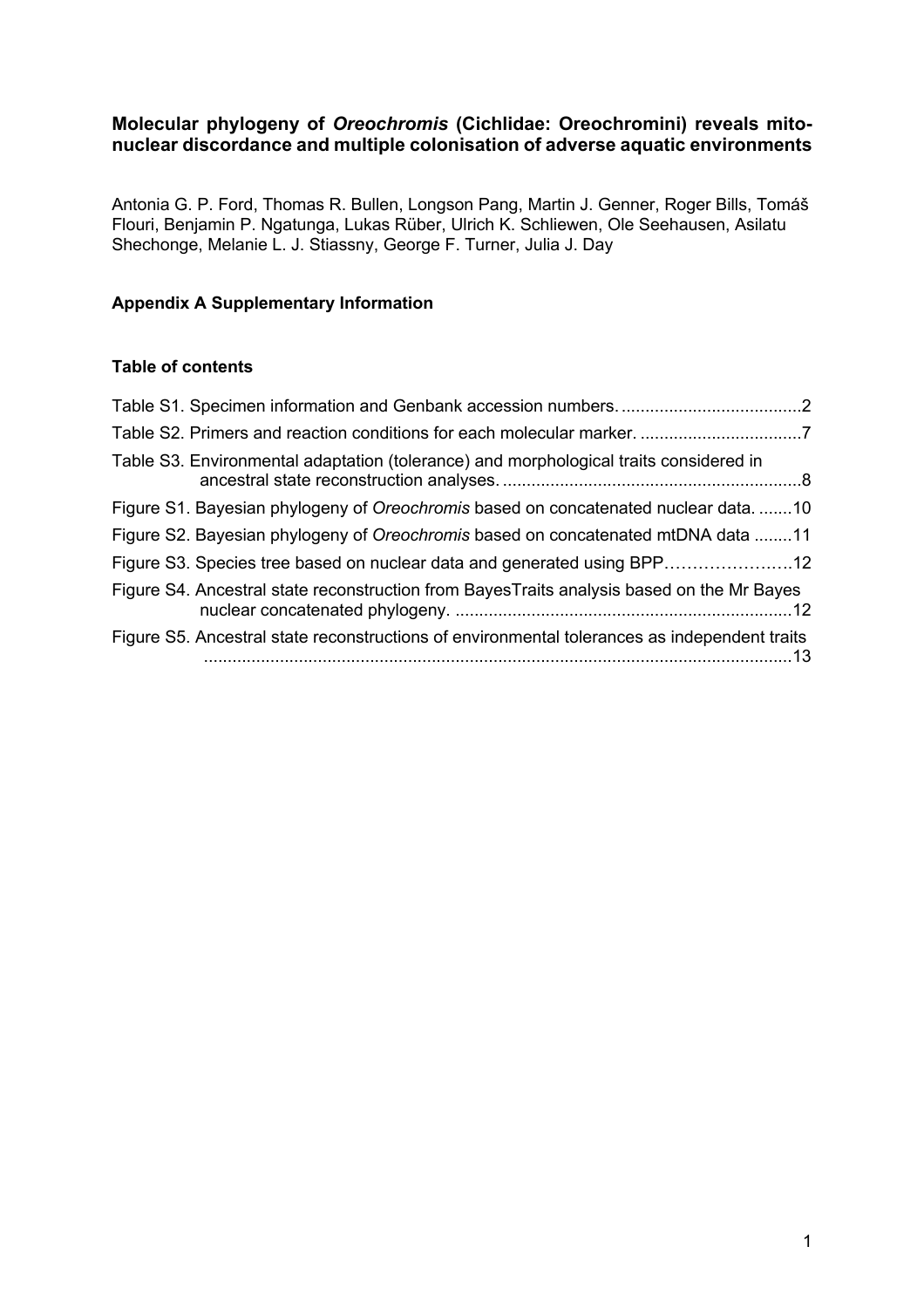# **Molecular phylogeny of** *Oreochromis* **(Cichlidae: Oreochromini) reveals mitonuclear discordance and multiple colonisation of adverse aquatic environments**

Antonia G. P. Ford, Thomas R. Bullen, Longson Pang, Martin J. Genner, Roger Bills, Tomáš Flouri, Benjamin P. Ngatunga, Lukas Rüber, Ulrich K. Schliewen, Ole Seehausen, Asilatu Shechonge, Melanie L. J. Stiassny, George F. Turner, Julia J. Day

# **Appendix A Supplementary Information**

## **Table of contents**

| Table S3. Environmental adaptation (tolerance) and morphological traits considered in        |  |
|----------------------------------------------------------------------------------------------|--|
| Figure S1. Bayesian phylogeny of Oreochromis based on concatenated nuclear data10            |  |
| Figure S2. Bayesian phylogeny of Oreochromis based on concatenated mtDNA data 11             |  |
| Figure S3. Species tree based on nuclear data and generated using BPP12                      |  |
| Figure S4. Ancestral state reconstruction from BayesTraits analysis based on the Mr Bayes    |  |
| Figure S5. Ancestral state reconstructions of environmental tolerances as independent traits |  |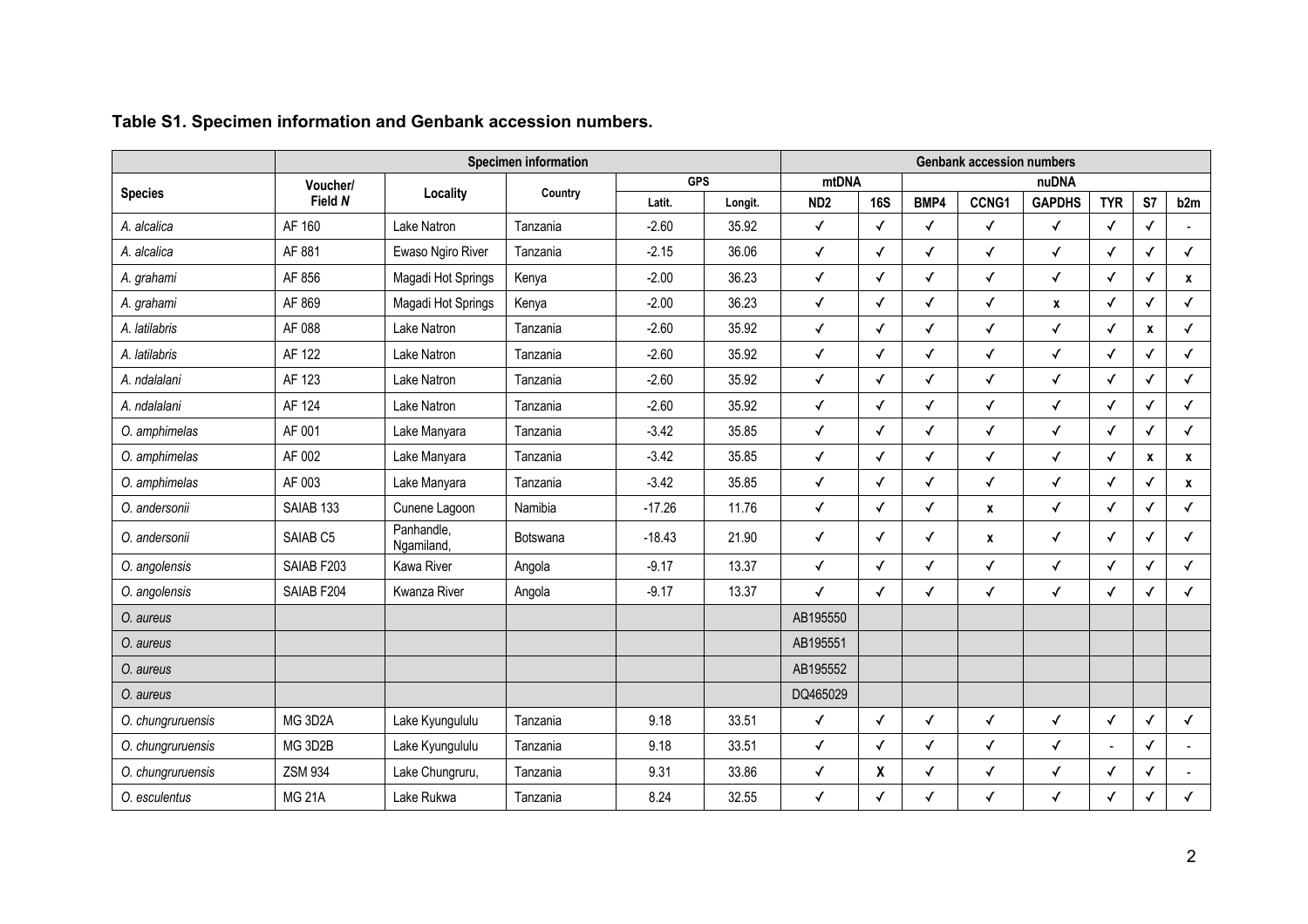|                   | <b>Specimen information</b> |                          |          |            |         | <b>Genbank accession numbers</b> |              |              |              |               |                |              |                |
|-------------------|-----------------------------|--------------------------|----------|------------|---------|----------------------------------|--------------|--------------|--------------|---------------|----------------|--------------|----------------|
| <b>Species</b>    | <b>Voucher/</b>             | Locality                 | Country  | <b>GPS</b> |         | mtDNA                            |              |              |              | nuDNA         |                |              |                |
|                   | Field N                     |                          |          | Latit.     | Longit. | ND <sub>2</sub>                  | <b>16S</b>   | BMP4         | CCNG1        | <b>GAPDHS</b> | <b>TYR</b>     | S7           | b2m            |
| A. alcalica       | AF 160                      | Lake Natron              | Tanzania | $-2.60$    | 35.92   | $\checkmark$                     | $\checkmark$ | $\checkmark$ | $\checkmark$ | $\checkmark$  | $\checkmark$   | $\checkmark$ |                |
| A. alcalica       | AF 881                      | Ewaso Ngiro River        | Tanzania | $-2.15$    | 36.06   | $\checkmark$                     | $\checkmark$ | $\checkmark$ | $\checkmark$ | $\checkmark$  | $\checkmark$   | ✓            | $\checkmark$   |
| A. grahami        | AF 856                      | Magadi Hot Springs       | Kenya    | $-2.00$    | 36.23   | $\checkmark$                     | $\checkmark$ | $\checkmark$ | $\checkmark$ | $\checkmark$  | $\checkmark$   | ✓            | $\pmb{\chi}$   |
| A. grahami        | AF 869                      | Magadi Hot Springs       | Kenya    | $-2.00$    | 36.23   | $\checkmark$                     | $\checkmark$ | ✓            | ✓            | $\pmb{\chi}$  | $\checkmark$   | √            | ✓              |
| A. latilabris     | AF 088                      | Lake Natron              | Tanzania | $-2.60$    | 35.92   | $\checkmark$                     | √            | √            | ✓            | $\checkmark$  | $\checkmark$   | X            | $\checkmark$   |
| A. latilabris     | AF 122                      | Lake Natron              | Tanzania | $-2.60$    | 35.92   | $\checkmark$                     | $\checkmark$ | $\checkmark$ | $\checkmark$ | $\checkmark$  | $\checkmark$   | ✓            | $\checkmark$   |
| A. ndalalani      | AF 123                      | Lake Natron              | Tanzania | $-2.60$    | 35.92   | $\checkmark$                     | $\checkmark$ | $\checkmark$ | $\checkmark$ | $\checkmark$  | $\checkmark$   | $\checkmark$ | $\checkmark$   |
| A. ndalalani      | AF 124                      | Lake Natron              | Tanzania | $-2.60$    | 35.92   | $\checkmark$                     | $\checkmark$ | $\checkmark$ | $\checkmark$ | $\checkmark$  | $\checkmark$   | $\checkmark$ | $\checkmark$   |
| O. amphimelas     | AF 001                      | Lake Manyara             | Tanzania | $-3.42$    | 35.85   | $\checkmark$                     | $\checkmark$ | $\checkmark$ | $\checkmark$ | $\checkmark$  | $\checkmark$   | ✓            | $\checkmark$   |
| O. amphimelas     | AF 002                      | Lake Manyara             | Tanzania | $-3.42$    | 35.85   | $\checkmark$                     | $\checkmark$ | $\checkmark$ | $\checkmark$ | $\checkmark$  | $\checkmark$   | X            | $\mathbf{x}$   |
| O. amphimelas     | AF 003                      | Lake Manyara             | Tanzania | $-3.42$    | 35.85   | $\checkmark$                     | $\checkmark$ | $\checkmark$ | $\checkmark$ | $\checkmark$  | $\checkmark$   | ✓            | $\mathbf{x}$   |
| O. andersonii     | SAIAB <sub>133</sub>        | Cunene Lagoon            | Namibia  | $-17.26$   | 11.76   | $\checkmark$                     | $\checkmark$ | $\checkmark$ | $\pmb{\chi}$ | $\checkmark$  | $\checkmark$   | $\checkmark$ | $\checkmark$   |
| O. andersonii     | SAIAB <sub>C5</sub>         | Panhandle,<br>Ngamiland, | Botswana | $-18.43$   | 21.90   | $\checkmark$                     | $\checkmark$ | √            | $\pmb{\chi}$ | $\checkmark$  | $\checkmark$   | ✓            | ✓              |
| O. angolensis     | SAIAB F203                  | Kawa River               | Angola   | $-9.17$    | 13.37   | $\checkmark$                     | $\checkmark$ | $\checkmark$ | ✓            | $\checkmark$  | $\checkmark$   | ✓            | $\checkmark$   |
| O. angolensis     | SAIAB F204                  | Kwanza River             | Angola   | $-9.17$    | 13.37   | $\checkmark$                     | $\checkmark$ | $\checkmark$ | ✓            | $\checkmark$  | $\checkmark$   | $\checkmark$ | $\checkmark$   |
| O. aureus         |                             |                          |          |            |         | AB195550                         |              |              |              |               |                |              |                |
| O. aureus         |                             |                          |          |            |         | AB195551                         |              |              |              |               |                |              |                |
| O. aureus         |                             |                          |          |            |         | AB195552                         |              |              |              |               |                |              |                |
| O. aureus         |                             |                          |          |            |         | DQ465029                         |              |              |              |               |                |              |                |
| O. chungruruensis | MG 3D2A                     | Lake Kyungululu          | Tanzania | 9.18       | 33.51   | $\checkmark$                     | $\checkmark$ | $\checkmark$ | $\checkmark$ | $\checkmark$  | $\checkmark$   | $\checkmark$ | $\checkmark$   |
| O. chungruruensis | MG 3D2B                     | Lake Kyungululu          | Tanzania | 9.18       | 33.51   | $\checkmark$                     | $\checkmark$ | $\checkmark$ | ✓            | $\checkmark$  | $\blacksquare$ | $\checkmark$ | $\overline{a}$ |
| O. chungruruensis | <b>ZSM 934</b>              | Lake Chungruru,          | Tanzania | 9.31       | 33.86   | ✓                                | χ            | √            | √            | $\checkmark$  | $\checkmark$   | $\checkmark$ |                |
| O. esculentus     | <b>MG 21A</b>               | Lake Rukwa               | Tanzania | 8.24       | 32.55   | $\checkmark$                     | $\checkmark$ | $\checkmark$ | ✓            | $\checkmark$  | $\checkmark$   |              |                |

# **Table S1. Specimen information and Genbank accession numbers.**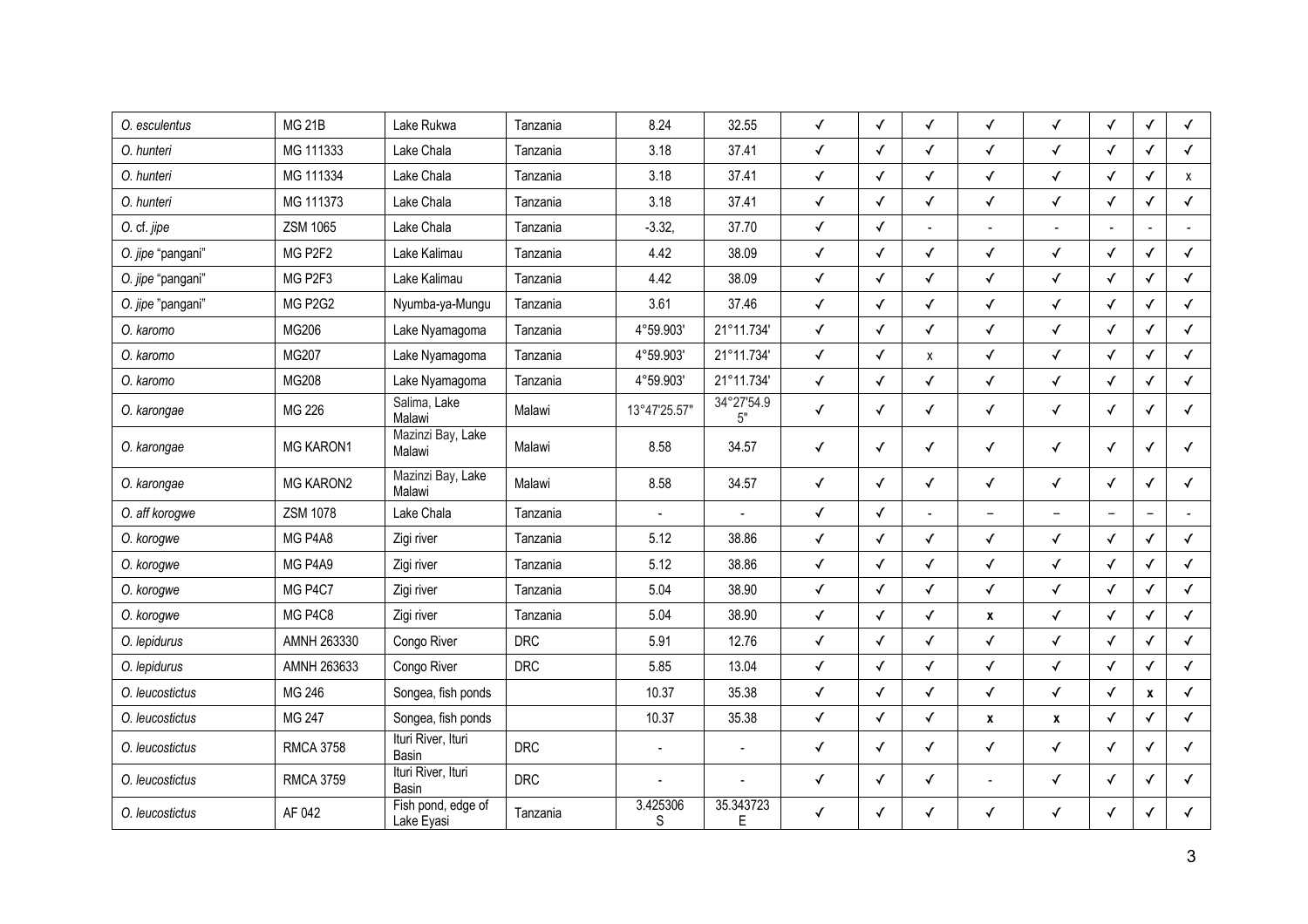| O. esculentus     | <b>MG 21B</b>    | Lake Rukwa                       | Tanzania   | 8.24           | 32.55            | ✓            | $\checkmark$ | ✓                  | ✓                        | $\checkmark$             | $\checkmark$ | $\checkmark$ | ✓            |
|-------------------|------------------|----------------------------------|------------|----------------|------------------|--------------|--------------|--------------------|--------------------------|--------------------------|--------------|--------------|--------------|
| O. hunteri        | MG 111333        | Lake Chala                       | Tanzania   | 3.18           | 37.41            | $\checkmark$ | $\checkmark$ | $\checkmark$       | $\checkmark$             | $\checkmark$             | $\checkmark$ | $\checkmark$ | $\checkmark$ |
| O. hunteri        | MG 111334        | Lake Chala                       | Tanzania   | 3.18           | 37.41            | $\checkmark$ | $\checkmark$ | $\checkmark$       | $\checkmark$             | $\checkmark$             | $\checkmark$ | $\checkmark$ | $\mathsf{x}$ |
| O. hunteri        | MG 111373        | Lake Chala                       | Tanzania   | 3.18           | 37.41            | $\checkmark$ | $\checkmark$ | ✓                  | $\checkmark$             | $\checkmark$             | $\checkmark$ | $\checkmark$ | $\checkmark$ |
| O. cf. jipe       | <b>ZSM 1065</b>  | Lake Chala                       | Tanzania   | $-3.32,$       | 37.70            | $\checkmark$ | $\checkmark$ |                    |                          |                          |              |              |              |
| O. jipe "pangani" | MG P2F2          | Lake Kalimau                     | Tanzania   | 4.42           | 38.09            | $\checkmark$ | $\checkmark$ | $\checkmark$       | $\checkmark$             | $\checkmark$             | $\checkmark$ | $\checkmark$ | $\checkmark$ |
| O. jipe "pangani" | MG P2F3          | Lake Kalimau                     | Tanzania   | 4.42           | 38.09            | $\checkmark$ | $\checkmark$ | ✓                  | $\checkmark$             | $\checkmark$             | $\checkmark$ | $\checkmark$ | $\checkmark$ |
| O. jipe "pangani" | MG P2G2          | Nyumba-ya-Mungu                  | Tanzania   | 3.61           | 37.46            | $\checkmark$ | $\checkmark$ | $\checkmark$       | ✓                        | $\checkmark$             | $\checkmark$ | $\checkmark$ | $\checkmark$ |
| O. karomo         | MG206            | Lake Nyamagoma                   | Tanzania   | 4°59.903'      | 21°11.734'       | $\checkmark$ | $\checkmark$ | $\checkmark$       | $\checkmark$             | $\checkmark$             | $\checkmark$ | $\checkmark$ | $\checkmark$ |
| O. karomo         | MG207            | Lake Nyamagoma                   | Tanzania   | 4°59.903'      | 21°11.734'       | $\checkmark$ | $\checkmark$ | $\pmb{\mathsf{X}}$ | $\checkmark$             | $\checkmark$             | $\checkmark$ | $\checkmark$ | $\checkmark$ |
| O. karomo         | MG208            | Lake Nyamagoma                   | Tanzania   | 4°59.903'      | 21°11.734'       | $\checkmark$ | $\checkmark$ | $\checkmark$       | $\checkmark$             | $\checkmark$             | $\checkmark$ | $\checkmark$ | $\checkmark$ |
| O. karongae       | MG 226           | Salima, Lake<br>Malawi           | Malawi     | 13°47'25.57"   | 34°27'54.9<br>5" | $\checkmark$ | $\checkmark$ | ✓                  | $\checkmark$             | $\checkmark$             | $\checkmark$ | ✓            | $\checkmark$ |
| O. karongae       | <b>MG KARON1</b> | Mazinzi Bay, Lake<br>Malawi      | Malawi     | 8.58           | 34.57            | ✓            | $\checkmark$ | $\checkmark$       | ✓                        | $\checkmark$             | $\checkmark$ | ✓            | $\checkmark$ |
| O. karongae       | <b>MG KARON2</b> | Mazinzi Bay, Lake<br>Malawi      | Malawi     | 8.58           | 34.57            | ✓            | $\checkmark$ | $\checkmark$       | ✓                        | $\checkmark$             | $\checkmark$ | $\checkmark$ | $\checkmark$ |
| O. aff korogwe    | <b>ZSM 1078</b>  | Lake Chala                       | Tanzania   | $\overline{a}$ |                  | $\checkmark$ | $\checkmark$ |                    | $\overline{\phantom{0}}$ | $\overline{\phantom{0}}$ | L.           |              |              |
| O. korogwe        | MG P4A8          | Zigi river                       | Tanzania   | 5.12           | 38.86            | $\checkmark$ | $\checkmark$ | $\checkmark$       | $\checkmark$             | ✓                        | $\checkmark$ | $\checkmark$ | $\checkmark$ |
| O. korogwe        | MG P4A9          | Zigi river                       | Tanzania   | 5.12           | 38.86            | $\checkmark$ | $\checkmark$ | $\checkmark$       | $\checkmark$             | $\checkmark$             | $\checkmark$ | $\checkmark$ | $\checkmark$ |
| O. korogwe        | MG P4C7          | Zigi river                       | Tanzania   | 5.04           | 38.90            | $\checkmark$ | $\checkmark$ | $\checkmark$       | $\checkmark$             | $\checkmark$             | $\checkmark$ | $\checkmark$ | $\checkmark$ |
| O. korogwe        | MG P4C8          | Zigi river                       | Tanzania   | 5.04           | 38.90            | $\checkmark$ | $\checkmark$ | $\checkmark$       | $\pmb{\chi}$             | $\checkmark$             | $\checkmark$ | $\checkmark$ | $\checkmark$ |
| O. lepidurus      | AMNH 263330      | Congo River                      | <b>DRC</b> | 5.91           | 12.76            | $\checkmark$ | $\checkmark$ | √                  | $\checkmark$             | $\checkmark$             | $\checkmark$ | ✓            | $\checkmark$ |
| O. lepidurus      | AMNH 263633      | Congo River                      | <b>DRC</b> | 5.85           | 13.04            | $\checkmark$ | $\checkmark$ | $\checkmark$       | $\checkmark$             | $\checkmark$             | $\checkmark$ | $\checkmark$ | $\checkmark$ |
| O. leucostictus   | MG 246           | Songea, fish ponds               |            | 10.37          | 35.38            | $\checkmark$ | $\checkmark$ | $\checkmark$       | $\checkmark$             | $\checkmark$             | $\checkmark$ | X            | $\checkmark$ |
| O. leucostictus   | MG 247           | Songea, fish ponds               |            | 10.37          | 35.38            | $\checkmark$ | $\checkmark$ | $\checkmark$       | $\pmb{\chi}$             | $\pmb{\chi}$             | $\checkmark$ | ✓            | $\checkmark$ |
| O. leucostictus   | <b>RMCA 3758</b> | Ituri River, Ituri<br>Basin      | <b>DRC</b> |                |                  | $\checkmark$ | $\checkmark$ | $\checkmark$       | $\checkmark$             | $\checkmark$             | $\checkmark$ | √            | $\checkmark$ |
| O. leucostictus   | <b>RMCA 3759</b> | Ituri River, Ituri<br>Basin      | <b>DRC</b> |                |                  | ✓            | ✓            | ✓                  |                          | $\checkmark$             | $\checkmark$ | ✓            | $\checkmark$ |
| O. leucostictus   | AF 042           | Fish pond, edge of<br>Lake Eyasi | Tanzania   | 3.425306<br>S  | 35.343723<br>Е   | $\checkmark$ | ✓            | $\checkmark$       | ✓                        | ✓                        | $\checkmark$ | ✓            | $\checkmark$ |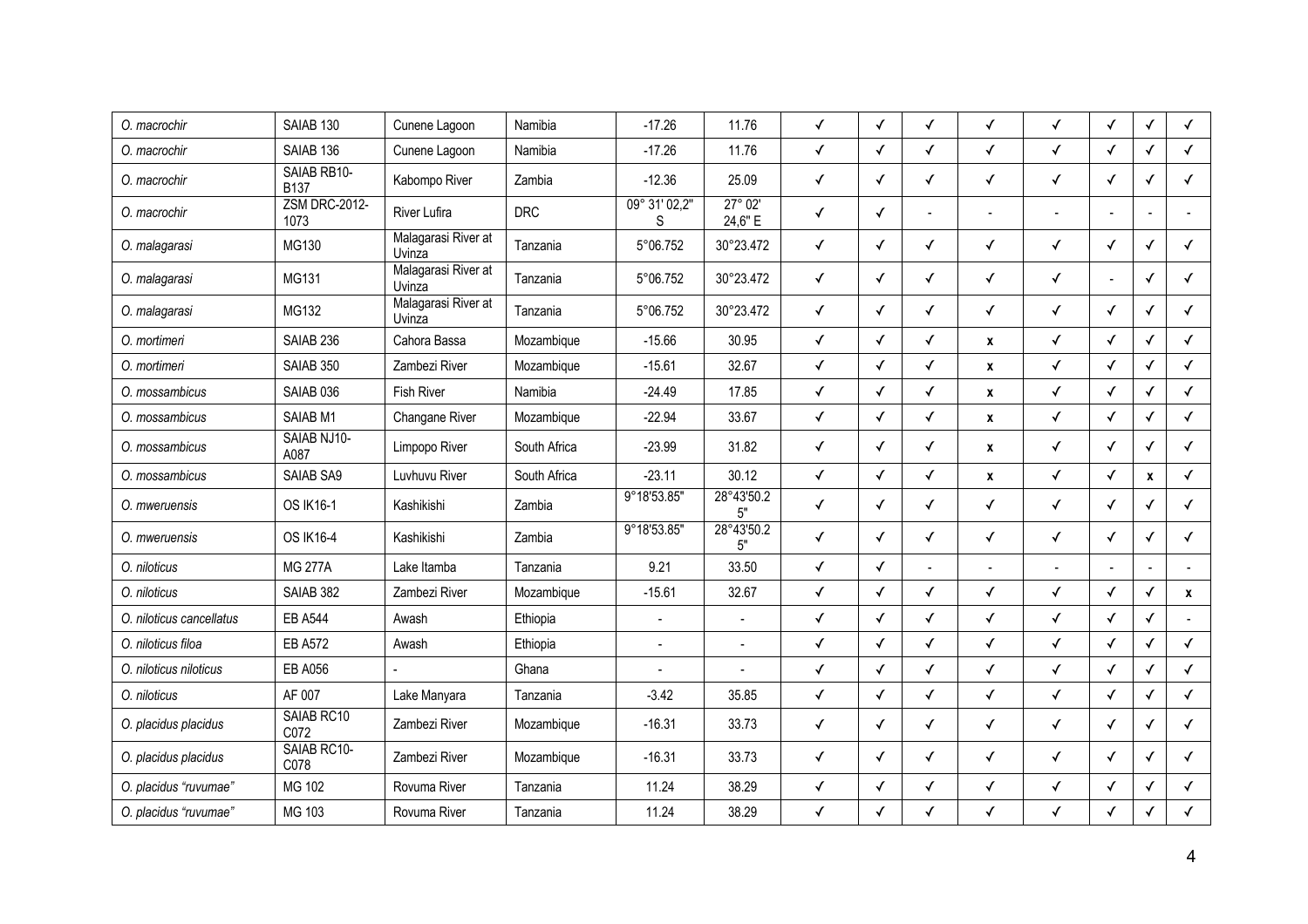| O. macrochir             | SAIAB 130                    | Cunene Lagoon                 | Namibia      | $-17.26$           | 11.76                       | ✓            | $\checkmark$ | ✓            | $\checkmark$ | $\checkmark$   | $\checkmark$ | $\checkmark$ | $\checkmark$ |
|--------------------------|------------------------------|-------------------------------|--------------|--------------------|-----------------------------|--------------|--------------|--------------|--------------|----------------|--------------|--------------|--------------|
| O. macrochir             | SAIAB <sub>136</sub>         | Cunene Lagoon                 | Namibia      | $-17.26$           | 11.76                       | ✓            | $\checkmark$ | $\checkmark$ | $\checkmark$ | $\checkmark$   | $\checkmark$ | ✓            | $\checkmark$ |
| O. macrochir             | SAIAB RB10-<br><b>B137</b>   | Kabompo River                 | Zambia       | $-12.36$           | 25.09                       | ✓            | $\checkmark$ | √            | ✓            | $\checkmark$   | $\checkmark$ | ✓            | $\checkmark$ |
| O. macrochir             | <b>ZSM DRC-2012-</b><br>1073 | River Lufira                  | <b>DRC</b>   | 09° 31' 02,2"<br>S | $27^{\circ} 02'$<br>24,6" E | ✓            | $\checkmark$ |              |              |                |              |              |              |
| O. malagarasi            | MG130                        | Malagarasi River at<br>Uvinza | Tanzania     | 5°06.752           | 30°23.472                   | ✓            | $\checkmark$ | $\checkmark$ | $\checkmark$ | $\checkmark$   | $\checkmark$ | ✓            | $\checkmark$ |
| O. malagarasi            | MG131                        | Malagarasi River at<br>Uvinza | Tanzania     | 5°06.752           | 30°23.472                   | ✓            | ✓            | √            | $\checkmark$ | ✓              |              | ✓            | $\checkmark$ |
| O. malagarasi            | MG132                        | Malagarasi River at<br>Uvinza | Tanzania     | 5°06.752           | 30°23.472                   | $\checkmark$ | $\checkmark$ | ✓            | $\checkmark$ | $\checkmark$   | $\checkmark$ | ✓            | $\checkmark$ |
| O. mortimeri             | SAIAB <sub>236</sub>         | Cahora Bassa                  | Mozambique   | $-15.66$           | 30.95                       | $\checkmark$ | $\checkmark$ | $\checkmark$ | $\pmb{\chi}$ | $\checkmark$   | $\checkmark$ | $\checkmark$ | $\checkmark$ |
| O. mortimeri             | SAIAB 350                    | Zambezi River                 | Mozambique   | $-15.61$           | 32.67                       | $\checkmark$ | $\checkmark$ | $\checkmark$ | $\pmb{\chi}$ | $\checkmark$   | $\checkmark$ | $\checkmark$ | $\checkmark$ |
| O. mossambicus           | SAIAB <sub>036</sub>         | <b>Fish River</b>             | Namibia      | $-24.49$           | 17.85                       | ✓            | $\checkmark$ | √            | $\pmb{\chi}$ | $\checkmark$   | $\checkmark$ | √            | $\checkmark$ |
| O. mossambicus           | SAIAB <sub>M1</sub>          | Changane River                | Mozambique   | $-22.94$           | 33.67                       | ✓            | $\checkmark$ | √            | X            | $\checkmark$   | $\checkmark$ | $\checkmark$ | $\checkmark$ |
| O. mossambicus           | SAIAB NJ10-<br>A087          | Limpopo River                 | South Africa | $-23.99$           | 31.82                       | ✓            | $\checkmark$ | √            | $\pmb{\chi}$ | $\checkmark$   | $\checkmark$ | √            | $\checkmark$ |
| O. mossambicus           | SAIAB SA9                    | Luvhuvu River                 | South Africa | $-23.11$           | 30.12                       | ✓            | $\checkmark$ | √            | $\pmb{\chi}$ | $\checkmark$   | $\checkmark$ | X            | $\checkmark$ |
| O. mweruensis            | <b>OS IK16-1</b>             | Kashikishi                    | Zambia       | 9°18'53.85"        | 28°43'50.2<br>5"            | $\checkmark$ | $\checkmark$ | √            | ✓            | $\checkmark$   | $\checkmark$ | ✓            | $\checkmark$ |
| O. mweruensis            | <b>OS IK16-4</b>             | Kashikishi                    | Zambia       | 9°18'53.85"        | 28°43'50.2<br>5"            | $\checkmark$ | $\checkmark$ | $\checkmark$ | $\checkmark$ | $\checkmark$   | $\checkmark$ | ✓            | $\checkmark$ |
| O. niloticus             | <b>MG 277A</b>               | Lake Itamba                   | Tanzania     | 9.21               | 33.50                       | $\checkmark$ | $\checkmark$ |              |              | $\overline{a}$ |              |              |              |
| O. niloticus             | SAIAB 382                    | Zambezi River                 | Mozambique   | $-15.61$           | 32.67                       | ✓            | $\checkmark$ | √            | $\checkmark$ | $\checkmark$   | $\checkmark$ | $\checkmark$ | $\mathbf x$  |
| O. niloticus cancellatus | <b>EB A544</b>               | Awash                         | Ethiopia     |                    |                             | $\checkmark$ | $\checkmark$ | √            | $\checkmark$ | $\checkmark$   | $\checkmark$ | $\checkmark$ |              |
| O. niloticus filoa       | <b>EB A572</b>               | Awash                         | Ethiopia     | $\overline{a}$     | $\overline{a}$              | $\checkmark$ | $\checkmark$ | √            | $\checkmark$ | $\checkmark$   | $\checkmark$ | $\checkmark$ | $\checkmark$ |
| O. niloticus niloticus   | <b>EB A056</b>               | $\overline{a}$                | Ghana        |                    | $\overline{a}$              | $\checkmark$ | $\checkmark$ | $\checkmark$ | $\checkmark$ | $\checkmark$   | $\checkmark$ | $\checkmark$ | $\checkmark$ |
| O. niloticus             | AF 007                       | Lake Manyara                  | Tanzania     | $-3.42$            | 35.85                       | ✓            | $\checkmark$ | √            | $\checkmark$ | $\checkmark$   | $\checkmark$ | ✓            | $\checkmark$ |
| O. placidus placidus     | SAIAB RC10<br>C072           | Zambezi River                 | Mozambique   | $-16.31$           | 33.73                       | ✓            | $\checkmark$ | √            | √            | $\checkmark$   | $\checkmark$ | ✓            | $\checkmark$ |
| O. placidus placidus     | SAIAB RC10-<br>C078          | Zambezi River                 | Mozambique   | $-16.31$           | 33.73                       | ✓            | $\checkmark$ | $\checkmark$ | $\checkmark$ | $\checkmark$   | $\checkmark$ | $\checkmark$ | $\checkmark$ |
| O. placidus "ruvumae"    | MG 102                       | Rovuma River                  | Tanzania     | 11.24              | 38.29                       | ✓            | $\checkmark$ | √            | $\checkmark$ | $\checkmark$   | $\checkmark$ | √            | $\checkmark$ |
| O. placidus "ruvumae"    | MG 103                       | Rovuma River                  | Tanzania     | 11.24              | 38.29                       | ✓            | ✓            | ✓            | ✓            | $\checkmark$   | ✓            | ✓            | $\checkmark$ |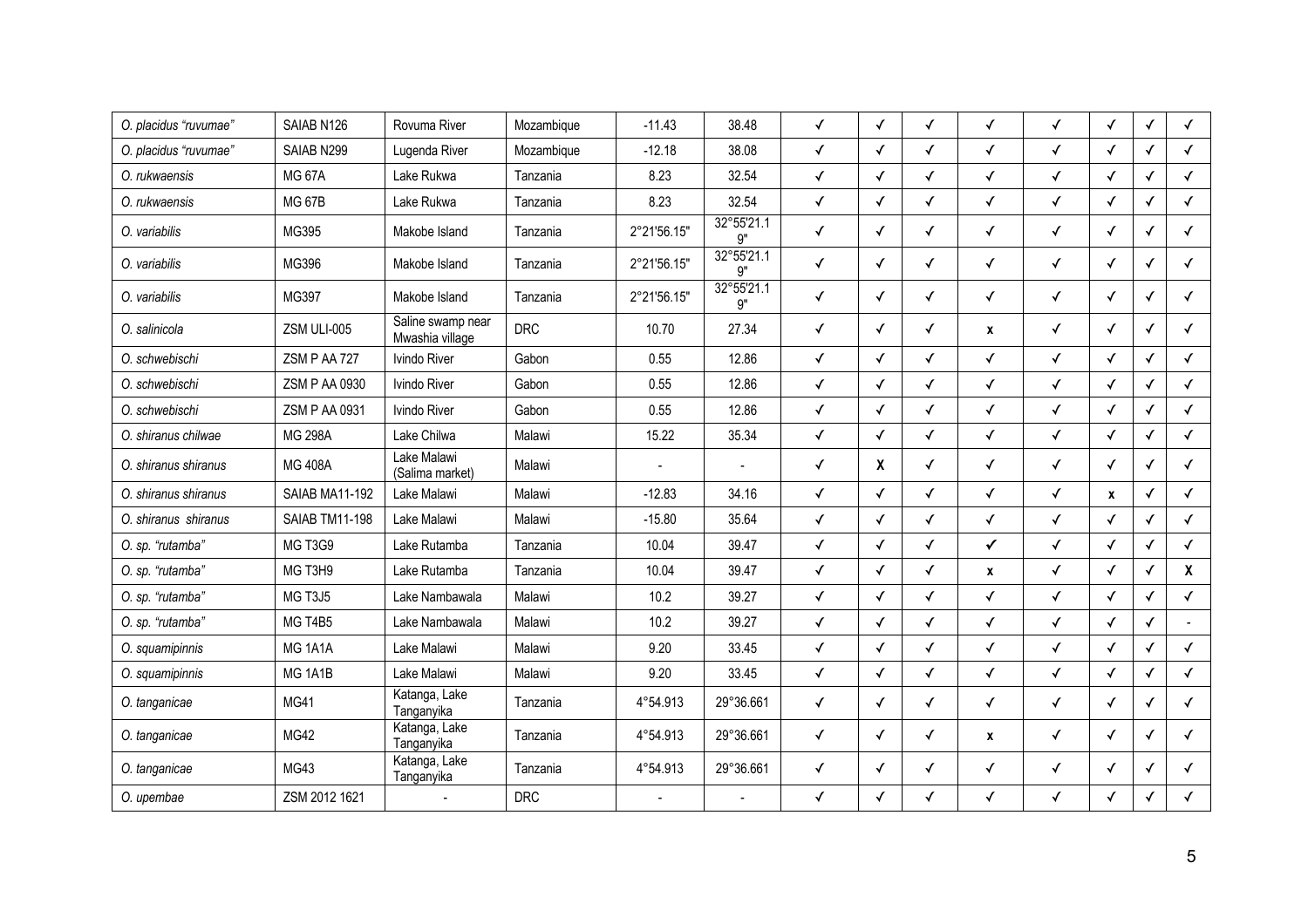| O. placidus "ruvumae" | SAIAB N126           | Rovuma River                         | Mozambique | $-11.43$       | 38.48                   | ✓            | ✓            | ✓            | $\checkmark$     | $\checkmark$ | $\checkmark$ | ✓            | $\checkmark$   |
|-----------------------|----------------------|--------------------------------------|------------|----------------|-------------------------|--------------|--------------|--------------|------------------|--------------|--------------|--------------|----------------|
| O. placidus "ruvumae" | SAIAB N299           | Lugenda River                        | Mozambique | $-12.18$       | 38.08                   | ✓            | ✓            | √            | ✓                | $\checkmark$ | $\checkmark$ |              | $\checkmark$   |
| O. rukwaensis         | <b>MG 67A</b>        | Lake Rukwa                           | Tanzania   | 8.23           | 32.54                   | ✓            | $\checkmark$ | √            | $\checkmark$     | $\checkmark$ | $\checkmark$ | √            | $\checkmark$   |
| O. rukwaensis         | <b>MG 67B</b>        | Lake Rukwa                           | Tanzania   | 8.23           | 32.54                   | $\checkmark$ | $\checkmark$ | √            | $\checkmark$     | $\checkmark$ | $\checkmark$ | ✓            | $\checkmark$   |
| O. variabilis         | MG395                | Makobe Island                        | Tanzania   | 2°21'56.15"    | 32°55'21.1<br>9"        | ✓            | $\checkmark$ | √            | $\checkmark$     | $\checkmark$ | $\checkmark$ | ✓            | $\checkmark$   |
| O. variabilis         | MG396                | Makobe Island                        | Tanzania   | 2°21'56.15"    | 32°55'21.1<br>9"        | ✓            | $\checkmark$ | √            | ✓                | $\checkmark$ | $\checkmark$ | ✓            | $\checkmark$   |
| O. variabilis         | MG397                | Makobe Island                        | Tanzania   | 2°21'56.15"    | 32°55'21.1<br><b>g"</b> | ✓            | $\checkmark$ | ✓            | $\checkmark$     | $\checkmark$ | $\checkmark$ | ✓            | $\checkmark$   |
| O. salinicola         | ZSM ULI-005          | Saline swamp near<br>Mwashia village | <b>DRC</b> | 10.70          | 27.34                   | ✓            | ✓            | ✓            | $\boldsymbol{x}$ | ✓            | $\checkmark$ |              | $\checkmark$   |
| O. schwebischi        | ZSM P AA 727         | Ivindo River                         | Gabon      | 0.55           | 12.86                   | ✓            | $\checkmark$ | √            | ✓                | $\checkmark$ | $\checkmark$ | √            | $\checkmark$   |
| O. schwebischi        | <b>ZSM P AA 0930</b> | Ivindo River                         | Gabon      | 0.55           | 12.86                   | $\checkmark$ | $\checkmark$ | √            | ✓                | $\checkmark$ | $\checkmark$ |              | $\checkmark$   |
| O. schwebischi        | ZSM P AA 0931        | Ivindo River                         | Gabon      | 0.55           | 12.86                   | $\checkmark$ | $\checkmark$ | ✓            | $\checkmark$     | $\checkmark$ | $\checkmark$ | ✓            | $\checkmark$   |
| O. shiranus chilwae   | <b>MG 298A</b>       | Lake Chilwa                          | Malawi     | 15.22          | 35.34                   | $\checkmark$ | $\checkmark$ | ✓            | $\checkmark$     | $\checkmark$ | $\checkmark$ | $\checkmark$ | $\checkmark$   |
| O. shiranus shiranus  | <b>MG 408A</b>       | Lake Malawi<br>(Salima market)       | Malawi     | $\overline{a}$ |                         | $\checkmark$ | $\pmb{\chi}$ | √            | $\checkmark$     | $\checkmark$ | $\checkmark$ | √            | $\checkmark$   |
| O. shiranus shiranus  | SAIAB MA11-192       | Lake Malawi                          | Malawi     | $-12.83$       | 34.16                   | ✓            | $\checkmark$ | ✓            | $\checkmark$     | $\checkmark$ | $\pmb{\chi}$ | ✓            | $\checkmark$   |
| O. shiranus shiranus  | SAIAB TM11-198       | Lake Malawi                          | Malawi     | $-15.80$       | 35.64                   | $\checkmark$ | $\checkmark$ | $\checkmark$ | $\checkmark$     | $\checkmark$ | $\checkmark$ | √            | $\checkmark$   |
| O. sp. "rutamba"      | MG T3G9              | Lake Rutamba                         | Tanzania   | 10.04          | 39.47                   | ✓            | $\checkmark$ | √            | $\checkmark$     | $\checkmark$ | $\checkmark$ | √            | $\checkmark$   |
| O. sp. "rutamba"      | MG T3H9              | Lake Rutamba                         | Tanzania   | 10.04          | 39.47                   | ✓            | $\checkmark$ | √            | $\pmb{\chi}$     | $\checkmark$ | $\checkmark$ |              | $\mathbf{x}$   |
| O. sp. "rutamba"      | MG T3J5              | Lake Nambawala                       | Malawi     | 10.2           | 39.27                   | ✓            | $\checkmark$ | ✓            | $\checkmark$     | $\checkmark$ | $\checkmark$ | √            | $\checkmark$   |
| O. sp. "rutamba"      | MG T4B5              | Lake Nambawala                       | Malawi     | 10.2           | 39.27                   | $\checkmark$ | $\checkmark$ | ✓            | $\checkmark$     | $\checkmark$ | $\checkmark$ | $\checkmark$ | $\overline{a}$ |
| O. squamipinnis       | MG 1A1A              | Lake Malawi                          | Malawi     | 9.20           | 33.45                   | ✓            | $\checkmark$ | ✓            | $\checkmark$     | $\checkmark$ | $\checkmark$ | ✓            | $\checkmark$   |
| O. squamipinnis       | MG <sub>1A1B</sub>   | Lake Malawi                          | Malawi     | 9.20           | 33.45                   | ✓            | $\checkmark$ | √            | ✓                | $\checkmark$ | $\checkmark$ | ✓            | $\checkmark$   |
| O. tanganicae         | <b>MG41</b>          | Katanga, Lake<br>Tanganyika          | Tanzania   | 4°54.913       | 29°36.661               | ✓            | $\checkmark$ | √            | ✓                | $\checkmark$ | $\checkmark$ | ✓            | $\checkmark$   |
| O. tanganicae         | MG42                 | Katanga, Lake<br>Tanganyika          | Tanzania   | 4°54.913       | 29°36.661               | ✓            | $\checkmark$ | √            | $\pmb{\chi}$     | $\checkmark$ | $\checkmark$ | ✓            | $\checkmark$   |
| O. tanganicae         | MG43                 | Katanga, Lake<br>Tanganyika          | Tanzania   | 4°54.913       | 29°36.661               | ✓            | ✓            | √            | ✓                | ✓            | $\checkmark$ | ✓            | $\checkmark$   |
| O. upembae            | ZSM 2012 1621        |                                      | <b>DRC</b> |                |                         | ✓            | $\checkmark$ | ✓            | $\checkmark$     | $\checkmark$ | $\checkmark$ | ✓            | $\checkmark$   |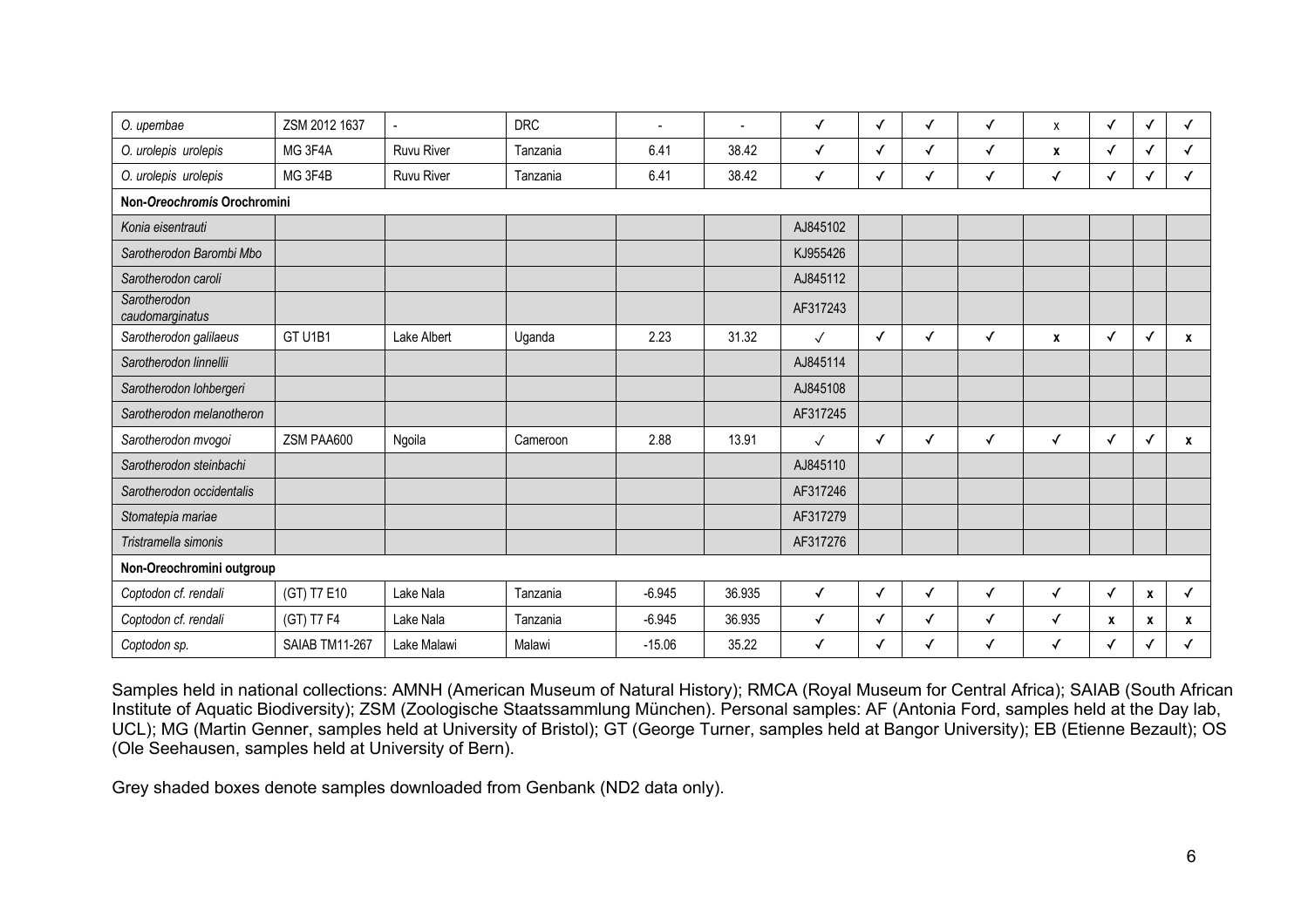| O. upembae                      | ZSM 2012 1637  | $\overline{a}$    | <b>DRC</b> |          |        | $\checkmark$ | $\checkmark$ | $\checkmark$ | $\checkmark$ | X            | ✓            | √                | ✓            |
|---------------------------------|----------------|-------------------|------------|----------|--------|--------------|--------------|--------------|--------------|--------------|--------------|------------------|--------------|
| O. urolepis urolepis            | MG 3F4A        | <b>Ruvu River</b> | Tanzania   | 6.41     | 38.42  | $\checkmark$ | $\checkmark$ | ✓            | $\checkmark$ | X            | ✓            | $\checkmark$     |              |
| O. urolepis urolepis            | MG 3F4B        | <b>Ruvu River</b> | Tanzania   | 6.41     | 38.42  | ✓            | ✓            | ✓            | $\checkmark$ | ✓            | ✓            | √                |              |
| Non-Oreochromis Orochromini     |                |                   |            |          |        |              |              |              |              |              |              |                  |              |
| Konia eisentrauti               |                |                   |            |          |        | AJ845102     |              |              |              |              |              |                  |              |
| Sarotherodon Barombi Mbo        |                |                   |            |          |        | KJ955426     |              |              |              |              |              |                  |              |
| Sarotherodon caroli             |                |                   |            |          |        | AJ845112     |              |              |              |              |              |                  |              |
| Sarotherodon<br>caudomarginatus |                |                   |            |          |        | AF317243     |              |              |              |              |              |                  |              |
| Sarotherodon galilaeus          | GT U1B1        | Lake Albert       | Uganda     | 2.23     | 31.32  | $\checkmark$ | $\checkmark$ | ✓            | ✓            | X            | √            | $\checkmark$     | X            |
| Sarotherodon linnellii          |                |                   |            |          |        | AJ845114     |              |              |              |              |              |                  |              |
| Sarotherodon lohbergeri         |                |                   |            |          |        | AJ845108     |              |              |              |              |              |                  |              |
| Sarotherodon melanotheron       |                |                   |            |          |        | AF317245     |              |              |              |              |              |                  |              |
| Sarotherodon mvogoi             | ZSM PAA600     | Ngoila            | Cameroon   | 2.88     | 13.91  | $\checkmark$ | $\checkmark$ | ✓            | √            | ✓            | ✓            | $\checkmark$     | x            |
| Sarotherodon steinbachi         |                |                   |            |          |        | AJ845110     |              |              |              |              |              |                  |              |
| Sarotherodon occidentalis       |                |                   |            |          |        | AF317246     |              |              |              |              |              |                  |              |
| Stomatepia mariae               |                |                   |            |          |        | AF317279     |              |              |              |              |              |                  |              |
| Tristramella simonis            |                |                   |            |          |        | AF317276     |              |              |              |              |              |                  |              |
| Non-Oreochromini outgroup       |                |                   |            |          |        |              |              |              |              |              |              |                  |              |
| Coptodon cf. rendali            | (GT) T7 E10    | Lake Nala         | Tanzania   | $-6.945$ | 36.935 | ✓            | ✓            | $\checkmark$ | ✓            | $\checkmark$ | $\checkmark$ | $\boldsymbol{x}$ | $\checkmark$ |
| Coptodon cf. rendali            | (GT) T7 F4     | Lake Nala         | Tanzania   | $-6.945$ | 36.935 | $\checkmark$ | $\checkmark$ | $\checkmark$ | $\checkmark$ | $\checkmark$ | X            | $\boldsymbol{x}$ | X            |
| Coptodon sp.                    | SAIAB TM11-267 | Lake Malawi       | Malawi     | $-15.06$ | 35.22  | ✓            | ✓            | ✓            | √            | ✓            | ✓            | $\sqrt{ }$       |              |

Samples held in national collections: AMNH (American Museum of Natural History); RMCA (Royal Museum for Central Africa); SAIAB (South African Institute of Aquatic Biodiversity); ZSM (Zoologische Staatssammlung München). Personal samples: AF (Antonia Ford, samples held at the Day lab, UCL); MG (Martin Genner, samples held at University of Bristol); GT (George Turner, samples held at Bangor University); EB (Etienne Bezault); OS (Ole Seehausen, samples held at University of Bern).

Grey shaded boxes denote samples downloaded from Genbank (ND2 data only).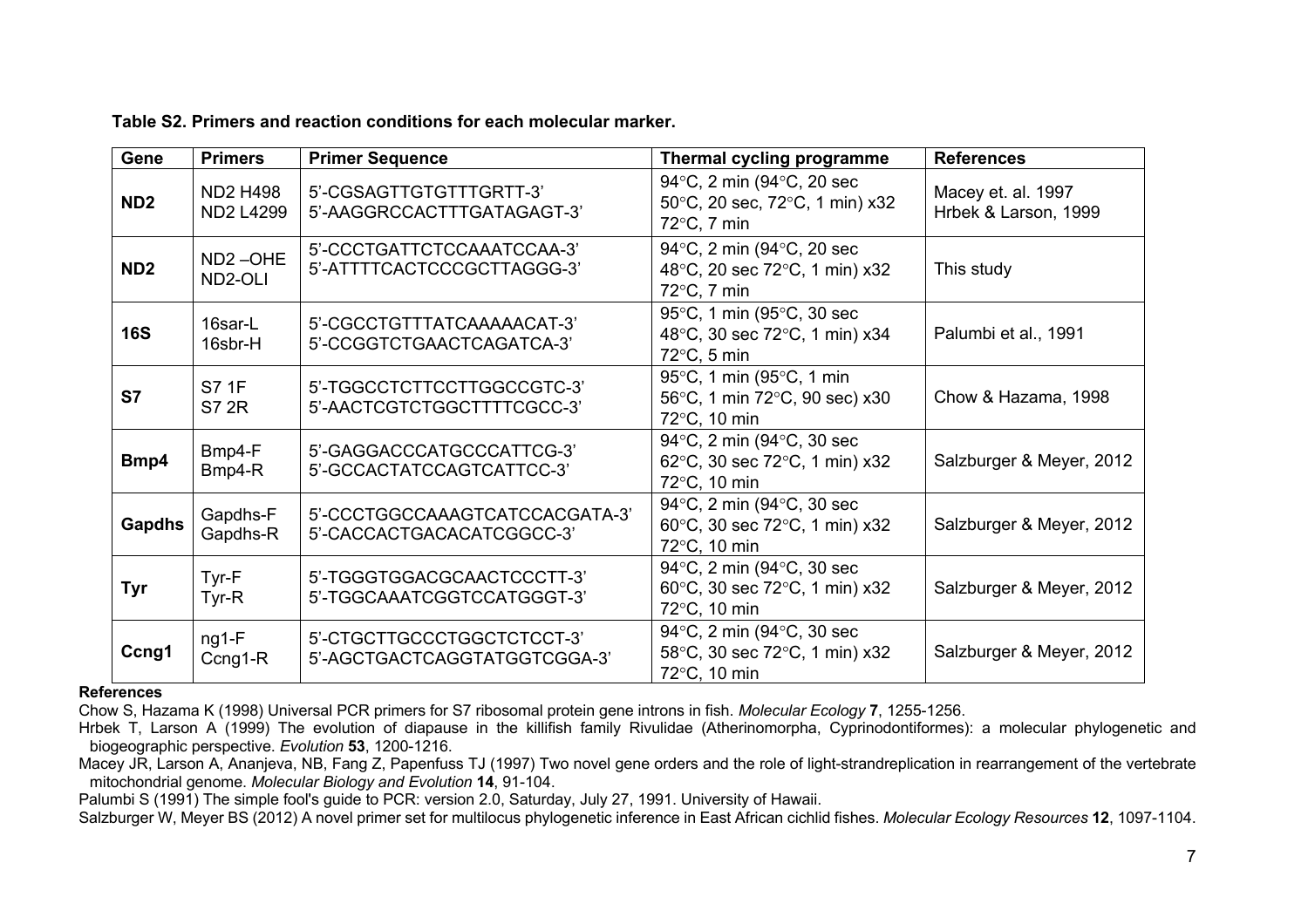|  |  | Table S2. Primers and reaction conditions for each molecular marker. |
|--|--|----------------------------------------------------------------------|
|--|--|----------------------------------------------------------------------|

| Gene            | <b>Primers</b>                      | <b>Primer Sequence</b>                                      | Thermal cycling programme                                                            | <b>References</b>                          |
|-----------------|-------------------------------------|-------------------------------------------------------------|--------------------------------------------------------------------------------------|--------------------------------------------|
| ND <sub>2</sub> | <b>ND2 H498</b><br><b>ND2 L4299</b> | 5'-CGSAGTTGTGTTTGRTT-3'<br>5'-AAGGRCCACTTTGATAGAGT-3'       | 94°C, 2 min (94°C, 20 sec<br>50°C, 20 sec, 72°C, 1 min) x32<br>$72^{\circ}$ C, 7 min | Macey et. al. 1997<br>Hrbek & Larson, 1999 |
| ND <sub>2</sub> | ND <sub>2</sub> -OHE<br>ND2-OLI     | 5'-CCCTGATTCTCCAAATCCAA-3'<br>5'-ATTTTCACTCCCGCTTAGGG-3'    | 94°C, 2 min (94°C, 20 sec<br>48°C, 20 sec 72°C, 1 min) x32<br>$72^{\circ}$ C, 7 min  | This study                                 |
| <b>16S</b>      | 16sar-L<br>16sbr-H                  | 5'-CGCCTGTTTATCAAAAACAT-3'<br>5'-CCGGTCTGAACTCAGATCA-3'     | 95°C, 1 min (95°C, 30 sec<br>48°C, 30 sec 72°C, 1 min) x34<br>$72^{\circ}$ C, 5 min  | Palumbi et al., 1991                       |
| S7              | S7 1F<br><b>S7 2R</b>               | 5'-TGGCCTCTTCCTTGGCCGTC-3'<br>5'-AACTCGTCTGGCTTTTCGCC-3'    | 95°C, 1 min (95°C, 1 min<br>56°C, 1 min 72°C, 90 sec) x30<br>72°C, 10 min            | Chow & Hazama, 1998                        |
| Bmp4            | Bmp4-F<br>Bmp4-R                    | 5'-GAGGACCCATGCCCATTCG-3'<br>5'-GCCACTATCCAGTCATTCC-3'      | 94°C, 2 min (94°C, 30 sec<br>62°C, 30 sec 72°C, 1 min) x32<br>72°C, 10 min           | Salzburger & Meyer, 2012                   |
| <b>Gapdhs</b>   | Gapdhs-F<br>Gapdhs-R                | 5'-CCCTGGCCAAAGTCATCCACGATA-3'<br>5'-CACCACTGACACATCGGCC-3' | 94°C, 2 min (94°C, 30 sec<br>60°C, 30 sec 72°C, 1 min) x32<br>72°C, 10 min           | Salzburger & Meyer, 2012                   |
| Tyr             | Tyr-F<br>$Tyr-R$                    | 5'-TGGGTGGACGCAACTCCCTT-3'<br>5'-TGGCAAATCGGTCCATGGGT-3'    | 94°C, 2 min (94°C, 30 sec<br>60°C, 30 sec 72°C, 1 min) x32<br>72°C, 10 min           | Salzburger & Meyer, 2012                   |
| Ccng1           | $ng1-F$<br>$Ccng1-R$                | 5'-CTGCTTGCCCTGGCTCTCCT-3'<br>5'-AGCTGACTCAGGTATGGTCGGA-3'  | 94°C, 2 min (94°C, 30 sec<br>58°C, 30 sec 72°C, 1 min) x32<br>72°C, 10 min           | Salzburger & Meyer, 2012                   |

#### **References**

Chow S, Hazama K (1998) Universal PCR primers for S7 ribosomal protein gene introns in fish. *Molecular Ecology* **7**, 1255-1256.

Hrbek T, Larson A (1999) The evolution of diapause in the killifish family Rivulidae (Atherinomorpha, Cyprinodontiformes): a molecular phylogenetic and biogeographic perspective. *Evolution* **53**, 1200-1216.

Macey JR, Larson A, Ananjeva, NB, Fang Z, Papenfuss TJ (1997) Two novel gene orders and the role of light-strandreplication in rearrangement of the vertebrate mitochondrial genome. *Molecular Biology and Evolution* **14**, 91-104.

Palumbi S (1991) The simple fool's guide to PCR: version 2.0, Saturday, July 27, 1991. University of Hawaii.

Salzburger W, Meyer BS (2012) A novel primer set for multilocus phylogenetic inference in East African cichlid fishes. *Molecular Ecology Resources* **12**, 1097-1104.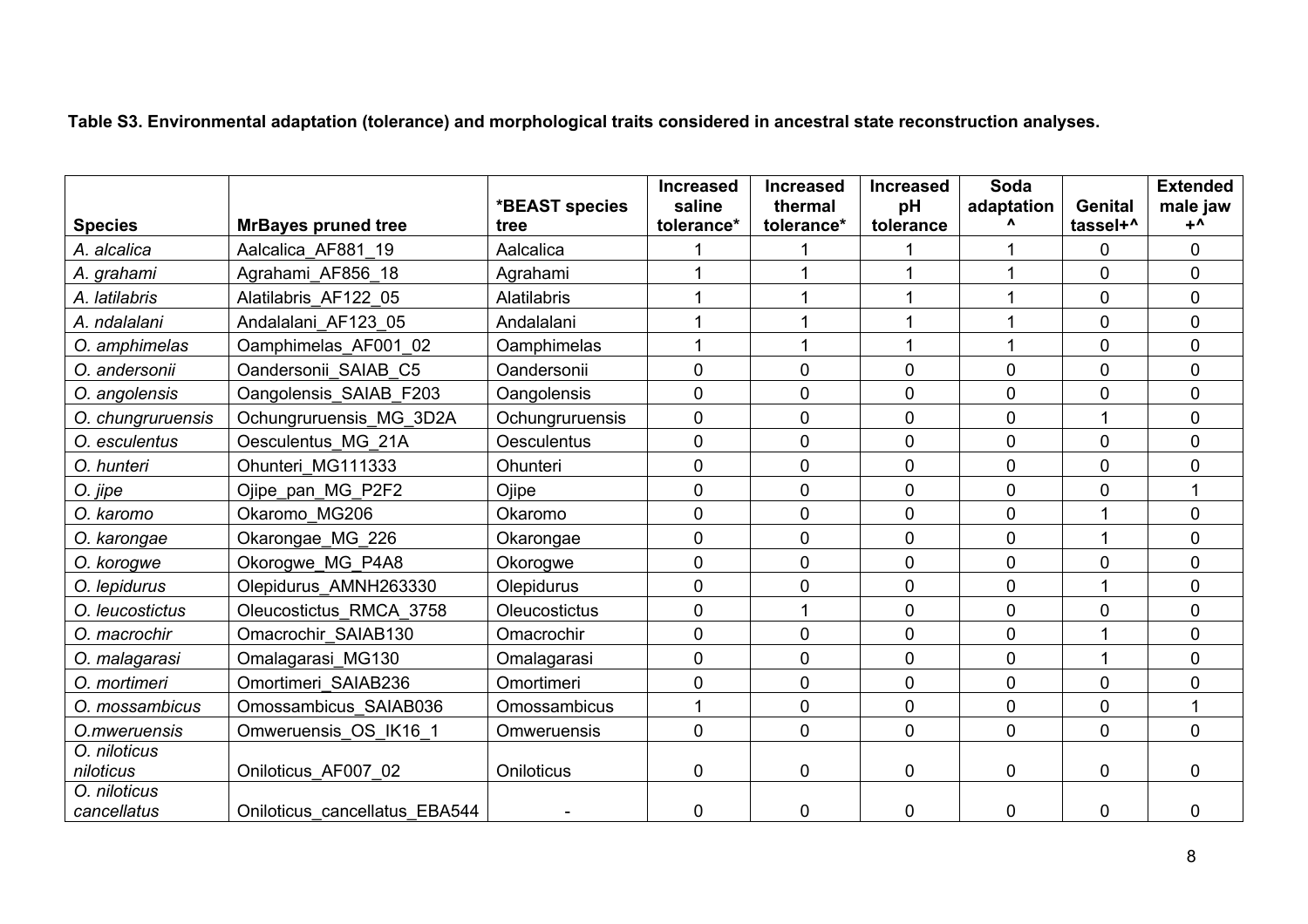**Table S3. Environmental adaptation (tolerance) and morphological traits considered in ancestral state reconstruction analyses.**

|                             |                               | *BEAST species     | <b>Increased</b><br>saline | <b>Increased</b><br>thermal | <b>Increased</b><br>pH | Soda<br>adaptation | <b>Genital</b> | <b>Extended</b><br>male jaw |
|-----------------------------|-------------------------------|--------------------|----------------------------|-----------------------------|------------------------|--------------------|----------------|-----------------------------|
| <b>Species</b>              | <b>MrBayes pruned tree</b>    | tree               | tolerance*                 | tolerance*                  | tolerance              |                    | tassel+^       | $+^{\mathsf{A}}$            |
| A. alcalica                 | Aalcalica AF881 19            | Aalcalica          |                            |                             |                        |                    | 0              | $\mathbf 0$                 |
| A. grahami                  | Agrahami AF856 18             | Agrahami           |                            |                             |                        |                    | 0              | 0                           |
| A. latilabris               | Alatilabris AF122 05          | Alatilabris        | 1                          |                             |                        |                    | 0              | $\overline{0}$              |
| A. ndalalani                | Andalalani AF123 05           | Andalalani         |                            |                             |                        |                    | 0              | $\mathbf 0$                 |
| O. amphimelas               | Oamphimelas_AF001_02          | Oamphimelas        | 1                          |                             |                        |                    | 0              | $\mathbf 0$                 |
| O. andersonii               | Oandersonii SAIAB C5          | Oandersonii        | 0                          | $\mathbf 0$                 | $\mathbf 0$            | 0                  | 0              | $\overline{0}$              |
| O. angolensis               | Oangolensis SAIAB F203        | Oangolensis        | 0                          | $\mathbf 0$                 | $\overline{0}$         | 0                  | 0              | $\overline{0}$              |
| O. chungruruensis           | Ochungruruensis MG 3D2A       | Ochungruruensis    | 0                          | $\Omega$                    | $\overline{0}$         | 0                  |                | 0                           |
| O. esculentus               | Oesculentus MG 21A            | <b>Oesculentus</b> | 0                          | $\overline{0}$              | $\mathbf{0}$           | 0                  | $\overline{0}$ | $\overline{0}$              |
| O. hunteri                  | Ohunteri MG111333             | Ohunteri           | 0                          | $\mathbf 0$                 | $\overline{0}$         | 0                  | 0              | 0                           |
| O. jipe                     | Ojipe_pan MG P2F2             | Ojipe              | 0                          | $\Omega$                    | $\overline{0}$         | 0                  | 0              | 1                           |
| O. karomo                   | Okaromo MG206                 | Okaromo            | 0                          | $\Omega$                    | $\mathbf{0}$           | 0                  |                | 0                           |
| O. karongae                 | Okarongae MG 226              | Okarongae          | 0                          | $\overline{0}$              | $\mathbf 0$            | 0                  |                | $\mathbf 0$                 |
| O. korogwe                  | Okorogwe MG P4A8              | Okorogwe           | 0                          | $\overline{0}$              | $\overline{0}$         | 0                  | $\overline{0}$ | $\overline{0}$              |
| O. lepidurus                | Olepidurus AMNH263330         | Olepidurus         | 0                          | $\mathbf 0$                 | $\overline{0}$         | 0                  |                | 0                           |
| O. leucostictus             | Oleucostictus RMCA 3758       | Oleucostictus      | 0                          |                             | $\overline{0}$         | 0                  | 0              | $\overline{0}$              |
| O. macrochir                | Omacrochir SAIAB130           | Omacrochir         | 0                          | $\mathbf 0$                 | $\overline{0}$         | 0                  |                | 0                           |
| O. malagarasi               | Omalagarasi MG130             | Omalagarasi        | 0                          | $\mathbf 0$                 | $\mathbf 0$            | 0                  |                | $\mathbf 0$                 |
| O. mortimeri                | Omortimeri SAIAB236           | Omortimeri         | 0                          | $\mathbf{0}$                | $\overline{0}$         | 0                  | $\overline{0}$ | $\overline{0}$              |
| O. mossambicus              | Omossambicus SAIAB036         | Omossambicus       | $\mathbf{1}$               | $\mathbf 0$                 | $\mathbf 0$            | 0                  | 0              | 1                           |
| O.mweruensis                | Omweruensis OS IK16 1         | Omweruensis        | $\mathbf 0$                | $\mathbf{0}$                | $\mathbf{0}$           | $\overline{0}$     | $\mathbf{0}$   | $\overline{0}$              |
| O. niloticus<br>niloticus   | Oniloticus AF007 02           | Oniloticus         | 0                          | 0                           | $\mathbf 0$            | 0                  | $\overline{0}$ | $\overline{0}$              |
| O. niloticus<br>cancellatus | Oniloticus cancellatus EBA544 |                    | 0                          | 0                           | $\mathbf 0$            | 0                  | $\mathbf 0$    | $\overline{0}$              |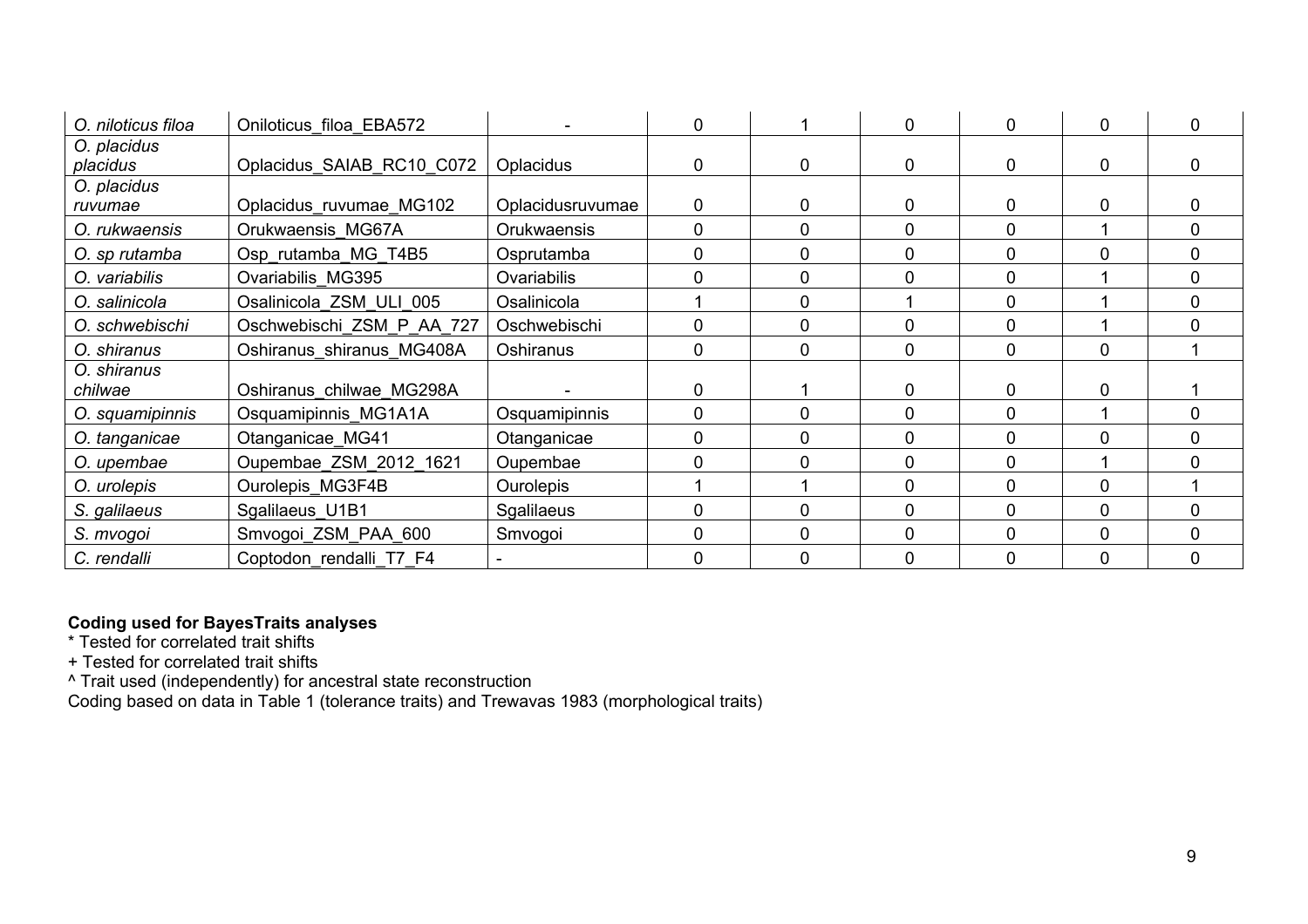| O. niloticus filoa      | Oniloticus filoa EBA572   |                    | 0 |                | $\Omega$    | 0            | $\overline{0}$ | 0 |
|-------------------------|---------------------------|--------------------|---|----------------|-------------|--------------|----------------|---|
| O. placidus<br>placidus | Oplacidus SAIAB RC10 C072 | <b>Oplacidus</b>   | 0 | $\Omega$       | $\Omega$    | $\Omega$     | $\mathbf{0}$   | 0 |
| O. placidus<br>ruvumae  | Oplacidus ruvumae MG102   | Oplacidusruvumae   | 0 | $\Omega$       | 0           | 0            | $\mathbf 0$    | 0 |
| O. rukwaensis           | Orukwaensis MG67A         | <b>Orukwaensis</b> | 0 | $\Omega$       | 0           | 0            |                | 0 |
| O. sp rutamba           | Osp rutamba MG T4B5       | Osprutamba         | 0 | $\Omega$       | 0           | 0            | $\mathbf{0}$   | 0 |
| O. variabilis           | Ovariabilis MG395         | Ovariabilis        | 0 | $\mathbf{0}$   | $\mathbf 0$ | 0            |                | 0 |
| O. salinicola           | Osalinicola ZSM ULI 005   | Osalinicola        |   | 0              |             | 0            |                | 0 |
| O. schwebischi          | Oschwebischi ZSM P AA 727 | Oschwebischi       | 0 | $\overline{0}$ | $\Omega$    | 0            |                | 0 |
| O. shiranus             | Oshiranus shiranus MG408A | Oshiranus          | 0 | $\Omega$       | $\Omega$    | $\Omega$     | $\mathbf{0}$   |   |
| O. shiranus<br>chilwae  | Oshiranus chilwae MG298A  |                    | 0 |                | 0           | 0            | $\mathbf 0$    |   |
| O. squamipinnis         | Osquamipinnis MG1A1A      | Osquamipinnis      | 0 | $\Omega$       | $\mathbf 0$ | $\mathbf{0}$ |                | 0 |
| O. tanganicae           | Otanganicae MG41          | Otanganicae        | 0 | $\mathbf{0}$   | $\mathbf 0$ | $\mathbf{0}$ | $\mathbf{0}$   | 0 |
| O. upembae              | Oupembae ZSM 2012 1621    | Oupembae           | 0 | $\Omega$       | $\mathbf 0$ | $\Omega$     |                | 0 |
| O. urolepis             | Ourolepis MG3F4B          | <b>Ourolepis</b>   |   |                | $\mathbf 0$ | $\Omega$     | $\Omega$       |   |
| S. galilaeus            | Sgalilaeus U1B1           | Sgalilaeus         | 0 | $\mathbf{0}$   | 0           | 0            | $\mathbf 0$    | 0 |
| S. mvogoi               | Smvogoi ZSM PAA 600       | Smvogoi            | 0 | $\mathbf{0}$   | $\mathbf 0$ | 0            | $\mathbf 0$    | 0 |
| C. rendalli             | Coptodon rendalli T7 F4   |                    | 0 | $\Omega$       | $\mathbf 0$ | $\mathbf{0}$ | $\mathbf 0$    | 0 |

## **Coding used for BayesTraits analyses**

\* Tested for correlated trait shifts

+ Tested for correlated trait shifts

^ Trait used (independently) for ancestral state reconstruction

Coding based on data in Table 1 (tolerance traits) and Trewavas 1983 (morphological traits)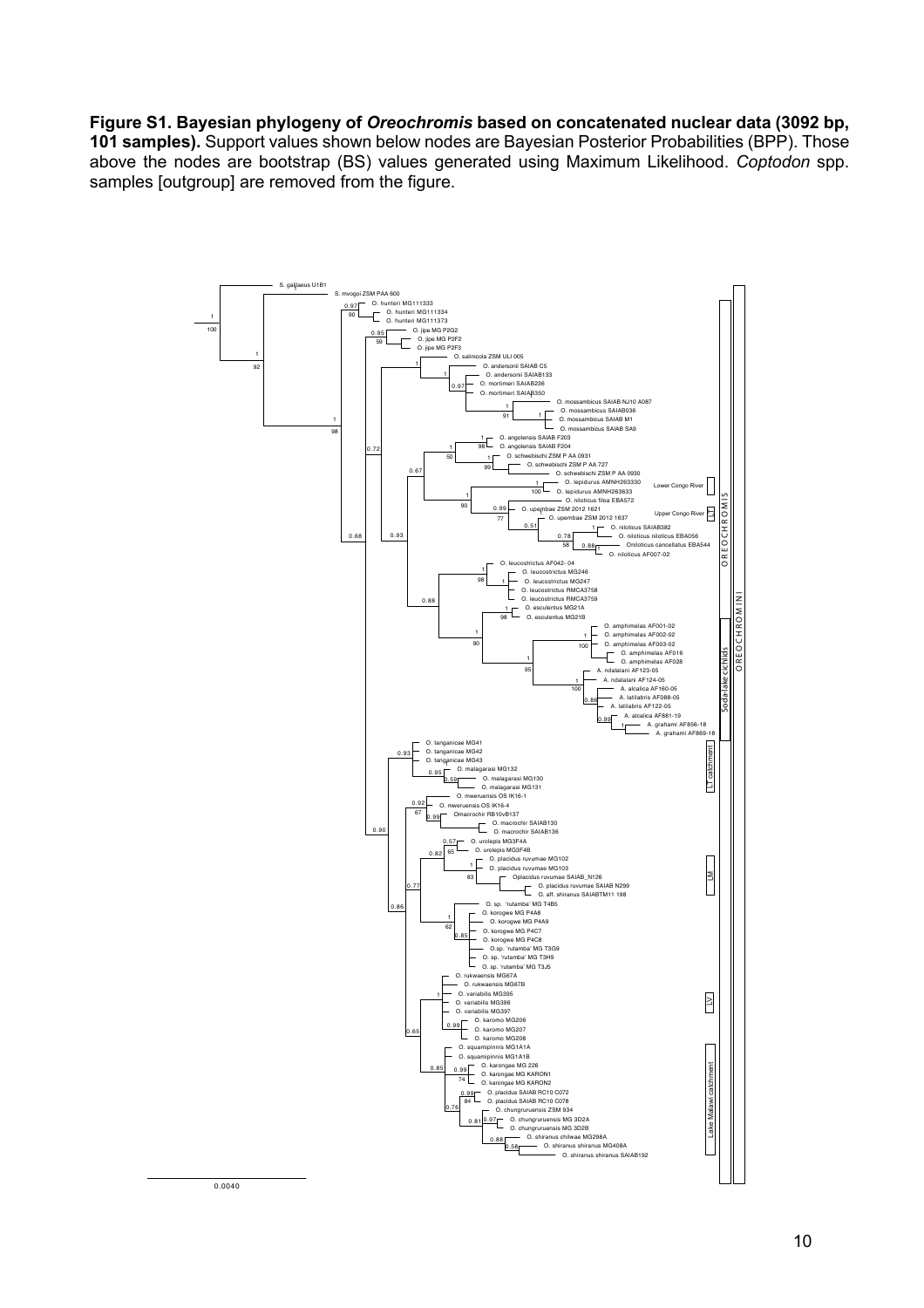## **Figure S1. Bayesian phylogeny of** *Oreochromis* **based on concatenated nuclear data (3092 bp,**

**101 samples).** Support values shown below nodes are Bayesian Posterior Probabilities (BPP). Those above the nodes are bootstrap (BS) values generated using Maximum Likelihood. *Coptodon* spp. samples [outgroup] are removed from the figure.

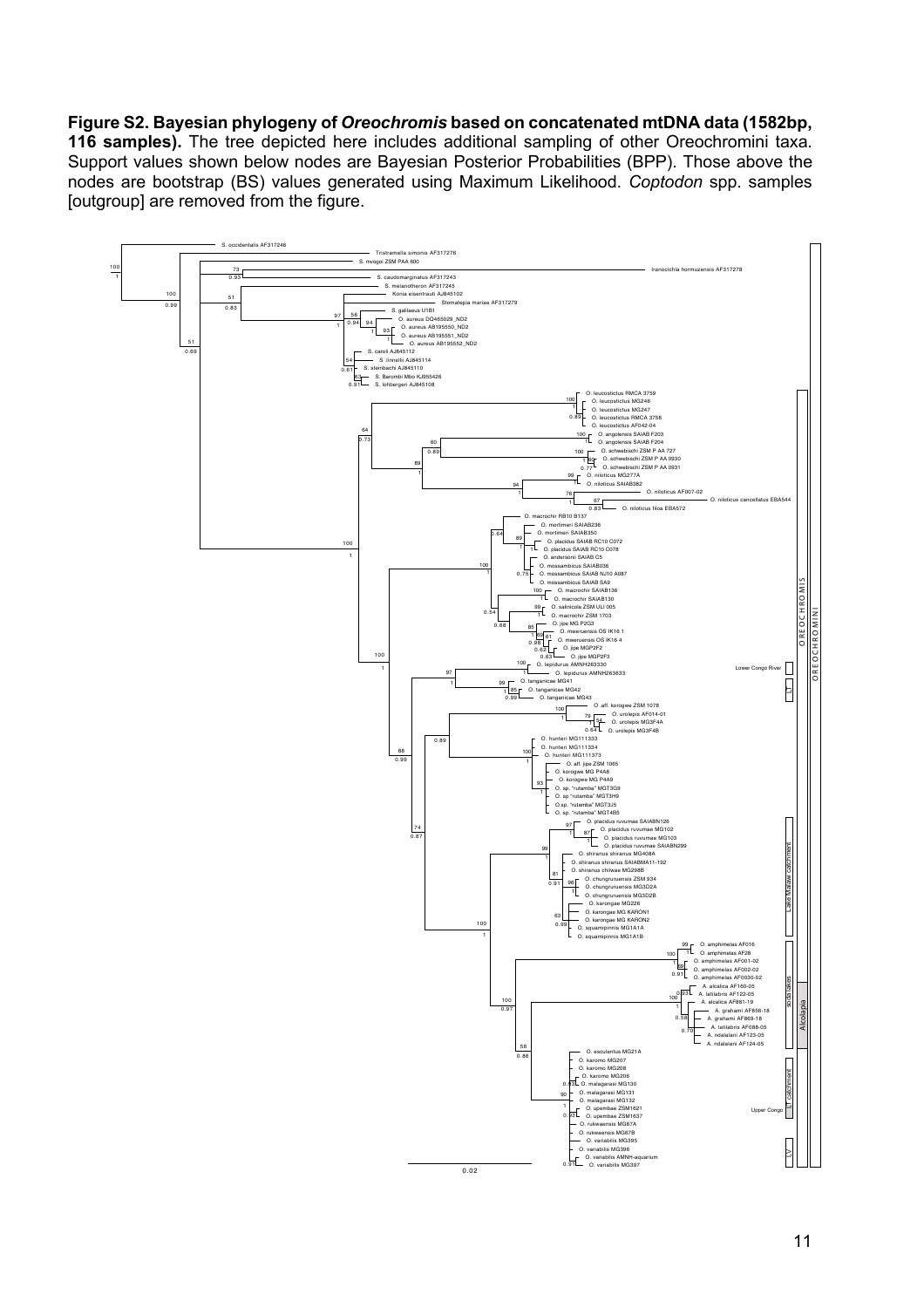#### **Figure S2. Bayesian phylogeny of** *Oreochromis* **based on concatenated mtDNA data (1582bp,**

**116 samples).** The tree depicted here includes additional sampling of other Oreochromini taxa. Support values shown below nodes are Bayesian Posterior Probabilities (BPP). Those above the nodes are bootstrap (BS) values generated using Maximum Likelihood. *Coptodon* spp. samples [outgroup] are removed from the figure.

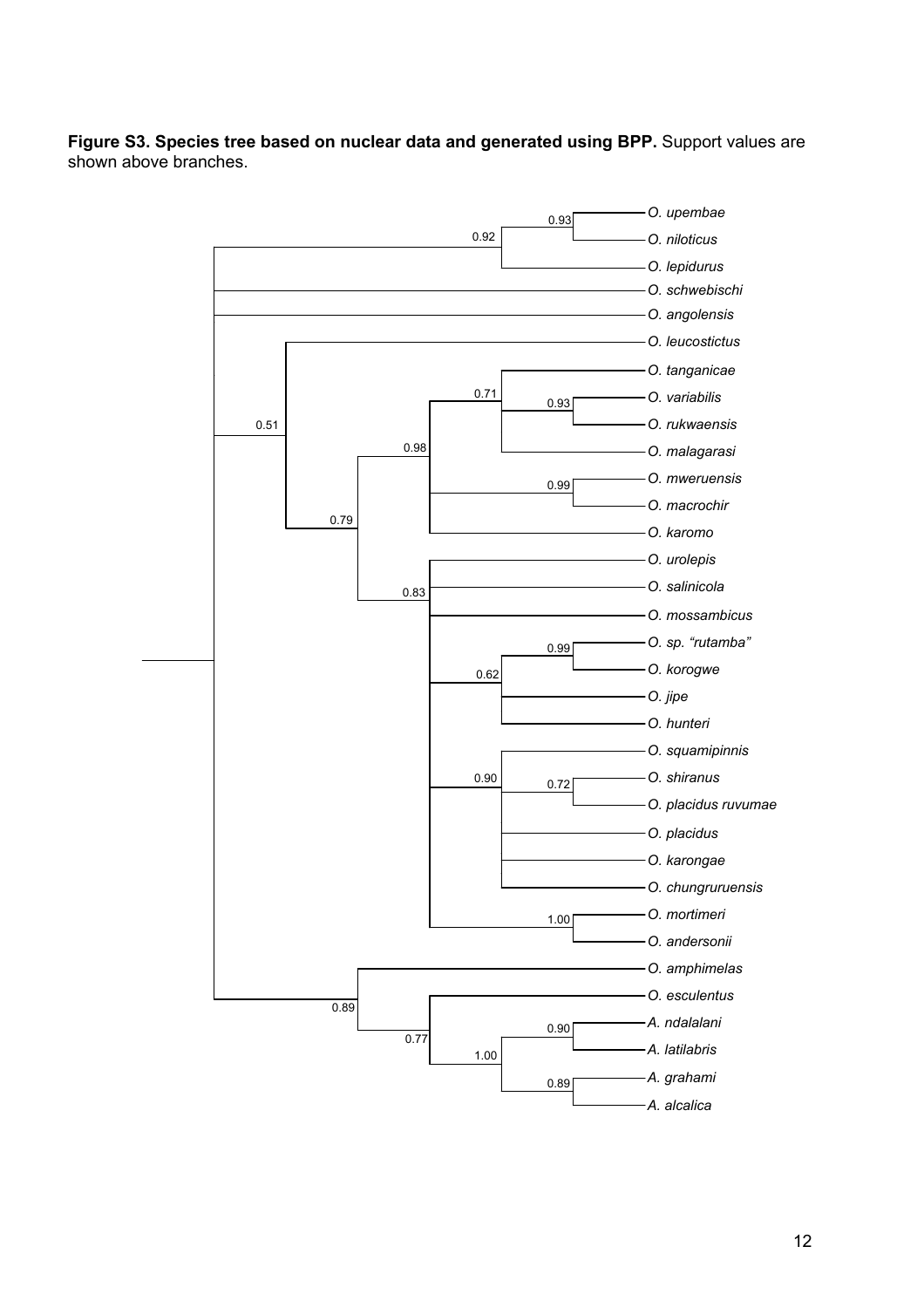**Figure S3. Species tree based on nuclear data and generated using BPP.** Support values are shown above branches.

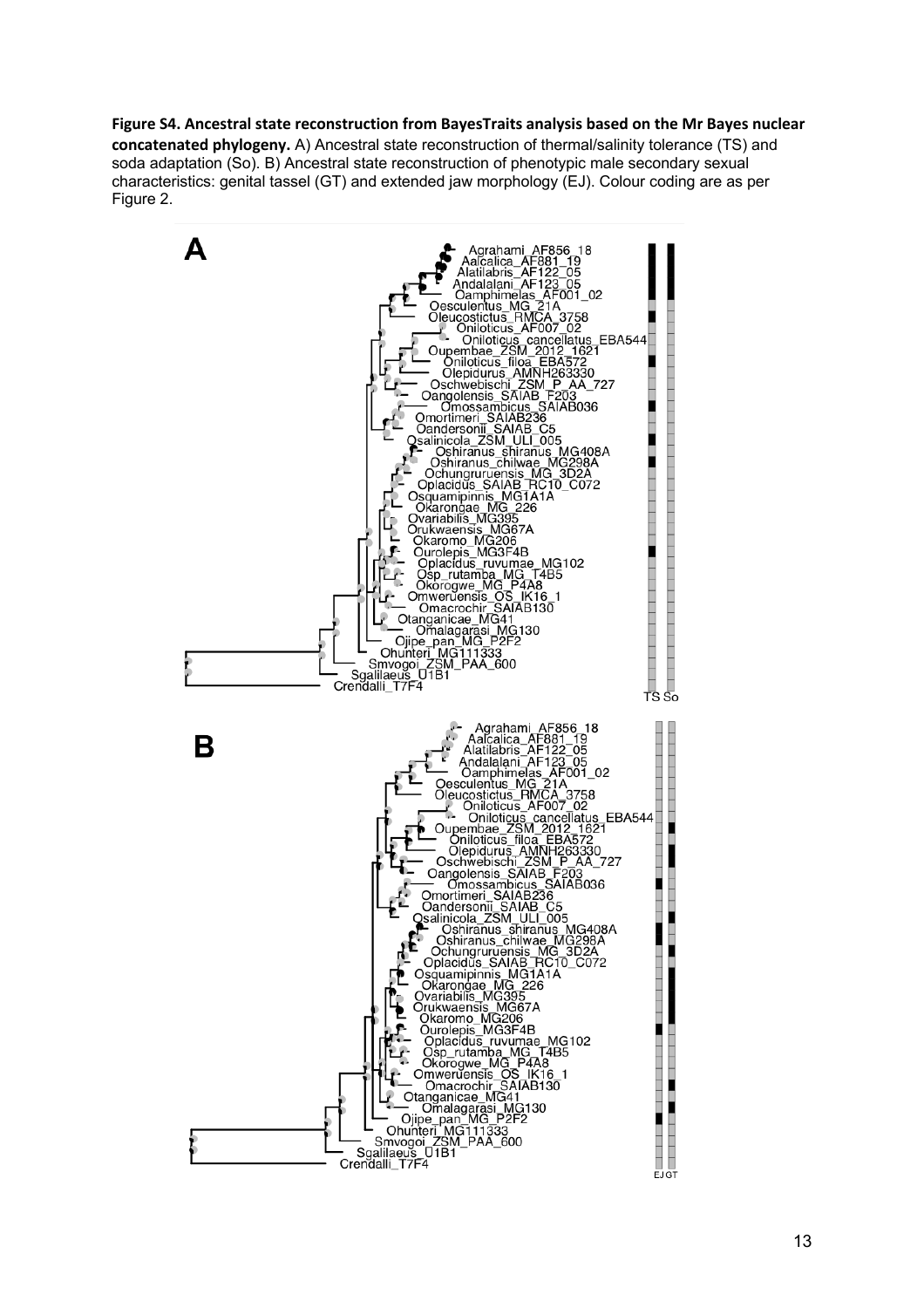**concatenated phylogeny.** A) Ancestral state reconstruction of thermal/salinity tolerance (TS) and soda adaptation (So). B) Ancestral state reconstruction of phenotypic male secondary sexual characteristics: genital tassel (GT) and extended jaw morphology (EJ). Colour coding are as per Figure 2.